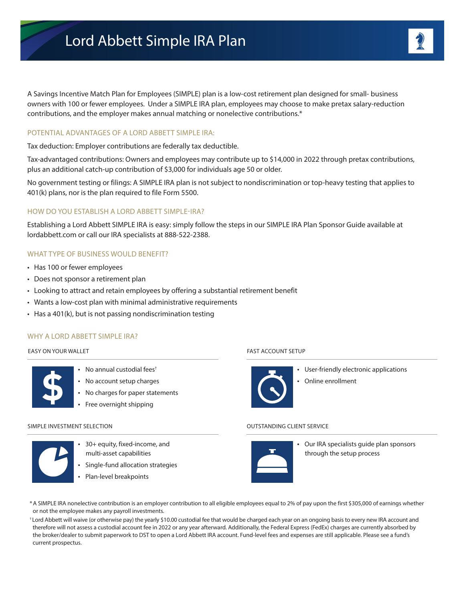A Savings Incentive Match Plan for Employees (SIMPLE) plan is a low-cost retirement plan designed for small- business owners with 100 or fewer employees. Under a SIMPLE IRA plan, employees may choose to make pretax salary-reduction contributions, and the employer makes annual matching or nonelective contributions.\*

### POTENTIAL ADVANTAGES OF A LORD ABBETT SIMPLE IRA:

Tax deduction: Employer contributions are federally tax deductible.

Tax-advantaged contributions: Owners and employees may contribute up to \$14,000 in 2022 through pretax contributions, plus an additional catch-up contribution of \$3,000 for individuals age 50 or older.

No government testing or filings: A SIMPLE IRA plan is not subject to nondiscrimination or top-heavy testing that applies to 401(k) plans, nor is the plan required to file Form 5500.

#### HOW DO YOU ESTABLISH A LORD ABBETT SIMPLE-IRA?

Establishing a Lord Abbett SIMPLE IRA is easy: simply follow the steps in our SIMPLE IRA Plan Sponsor Guide available at lordabbett.com or call our IRA specialists at 888-522-2388.

### WHAT TYPE OF BUSINESS WOULD BENEFIT?

- Has 100 or fewer employees
- Does not sponsor a retirement plan
- Looking to attract and retain employees by offering a substantial retirement benefit
- Wants a low-cost plan with minimal administrative requirements
- Has a 401(k), but is not passing nondiscrimination testing

#### WHY A LORD ABBETT SIMPLE IRA?

#### EASY ON YOUR WALLET



- No annual custodial fees<sup>+</sup> • No account setup charges
- No charges for paper statements
- Free overnight shipping

#### SIMPLE INVESTMENT SELECTION



- 30+ equity, fixed-income, and multi-asset capabilities
- Single-fund allocation strategies
- Plan-level breakpoints

#### FAST ACCOUNT SETUP



- User-friendly electronic applications
- Online enrollment

#### OUTSTANDING CLIENT SERVICE



• Our IRA specialists guide plan sponsors through the setup process

- \*A SIMPLE IRA nonelective contribution is an employer contribution to all eligible employees equal to 2% of pay upon the first \$305,000 of earnings whether or not the employee makes any payroll investments.
- † Lord Abbett will waive (or otherwise pay) the yearly \$10.00 custodial fee that would be charged each year on an ongoing basis to every new IRA account and therefore will not assess a custodial account fee in 2022 or any year afterward. Additionally, the Federal Express (FedEx) charges are currently absorbed by the broker/dealer to submit paperwork to DST to open a Lord Abbett IRA account. Fund-level fees and expenses are still applicable. Please see a fund's current prospectus.